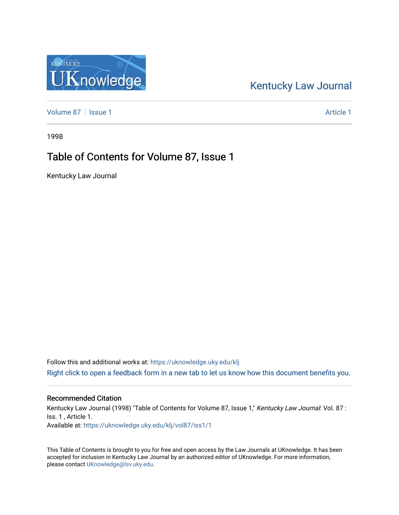## [Kentucky Law Journal](https://uknowledge.uky.edu/klj)

[Volume 87](https://uknowledge.uky.edu/klj/vol87) | [Issue 1](https://uknowledge.uky.edu/klj/vol87/iss1) Article 1

1998

## Table of Contents for Volume 87, Issue 1

Kentucky Law Journal

Follow this and additional works at: [https://uknowledge.uky.edu/klj](https://uknowledge.uky.edu/klj?utm_source=uknowledge.uky.edu%2Fklj%2Fvol87%2Fiss1%2F1&utm_medium=PDF&utm_campaign=PDFCoverPages) [Right click to open a feedback form in a new tab to let us know how this document benefits you.](https://uky.az1.qualtrics.com/jfe/form/SV_9mq8fx2GnONRfz7)

#### Recommended Citation

Kentucky Law Journal (1998) "Table of Contents for Volume 87, Issue 1," Kentucky Law Journal: Vol. 87 : Iss. 1 , Article 1. Available at: [https://uknowledge.uky.edu/klj/vol87/iss1/1](https://uknowledge.uky.edu/klj/vol87/iss1/1?utm_source=uknowledge.uky.edu%2Fklj%2Fvol87%2Fiss1%2F1&utm_medium=PDF&utm_campaign=PDFCoverPages)

This Table of Contents is brought to you for free and open access by the Law Journals at UKnowledge. It has been accepted for inclusion in Kentucky Law Journal by an authorized editor of UKnowledge. For more information, please contact [UKnowledge@lsv.uky.edu.](mailto:UKnowledge@lsv.uky.edu)